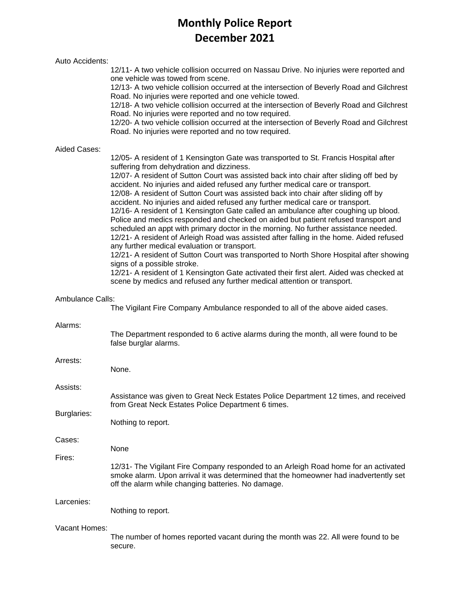# **Monthly Police Report December 2021**

| Auto Accidents:                                                                                           |                                                                                                                                                                                                                                                                                                                                                                                                                                                                                                                                                                                                                                                                                                                                                                                                                                                                                                                                                                                                                                                                                                                                                                                                         |  |  |  |  |
|-----------------------------------------------------------------------------------------------------------|---------------------------------------------------------------------------------------------------------------------------------------------------------------------------------------------------------------------------------------------------------------------------------------------------------------------------------------------------------------------------------------------------------------------------------------------------------------------------------------------------------------------------------------------------------------------------------------------------------------------------------------------------------------------------------------------------------------------------------------------------------------------------------------------------------------------------------------------------------------------------------------------------------------------------------------------------------------------------------------------------------------------------------------------------------------------------------------------------------------------------------------------------------------------------------------------------------|--|--|--|--|
|                                                                                                           | 12/11- A two vehicle collision occurred on Nassau Drive. No injuries were reported and<br>one vehicle was towed from scene.<br>12/13- A two vehicle collision occurred at the intersection of Beverly Road and Gilchrest<br>Road. No injuries were reported and one vehicle towed.<br>12/18- A two vehicle collision occurred at the intersection of Beverly Road and Gilchrest<br>Road. No injuries were reported and no tow required.<br>12/20- A two vehicle collision occurred at the intersection of Beverly Road and Gilchrest<br>Road. No injuries were reported and no tow required.                                                                                                                                                                                                                                                                                                                                                                                                                                                                                                                                                                                                            |  |  |  |  |
| Aided Cases:                                                                                              | 12/05- A resident of 1 Kensington Gate was transported to St. Francis Hospital after<br>suffering from dehydration and dizziness.<br>12/07- A resident of Sutton Court was assisted back into chair after sliding off bed by<br>accident. No injuries and aided refused any further medical care or transport.<br>12/08- A resident of Sutton Court was assisted back into chair after sliding off by<br>accident. No injuries and aided refused any further medical care or transport.<br>12/16- A resident of 1 Kensington Gate called an ambulance after coughing up blood.<br>Police and medics responded and checked on aided but patient refused transport and<br>scheduled an appt with primary doctor in the morning. No further assistance needed.<br>12/21- A resident of Arleigh Road was assisted after falling in the home. Aided refused<br>any further medical evaluation or transport.<br>12/21- A resident of Sutton Court was transported to North Shore Hospital after showing<br>signs of a possible stroke.<br>12/21- A resident of 1 Kensington Gate activated their first alert. Aided was checked at<br>scene by medics and refused any further medical attention or transport. |  |  |  |  |
| <b>Ambulance Calls:</b><br>The Vigilant Fire Company Ambulance responded to all of the above aided cases. |                                                                                                                                                                                                                                                                                                                                                                                                                                                                                                                                                                                                                                                                                                                                                                                                                                                                                                                                                                                                                                                                                                                                                                                                         |  |  |  |  |
| Alarms:                                                                                                   | The Department responded to 6 active alarms during the month, all were found to be<br>false burglar alarms.                                                                                                                                                                                                                                                                                                                                                                                                                                                                                                                                                                                                                                                                                                                                                                                                                                                                                                                                                                                                                                                                                             |  |  |  |  |
| Arrests:                                                                                                  | None.                                                                                                                                                                                                                                                                                                                                                                                                                                                                                                                                                                                                                                                                                                                                                                                                                                                                                                                                                                                                                                                                                                                                                                                                   |  |  |  |  |
| Assists:<br>Burglaries:                                                                                   | Assistance was given to Great Neck Estates Police Department 12 times, and received<br>from Great Neck Estates Police Department 6 times.                                                                                                                                                                                                                                                                                                                                                                                                                                                                                                                                                                                                                                                                                                                                                                                                                                                                                                                                                                                                                                                               |  |  |  |  |
|                                                                                                           | Nothing to report.                                                                                                                                                                                                                                                                                                                                                                                                                                                                                                                                                                                                                                                                                                                                                                                                                                                                                                                                                                                                                                                                                                                                                                                      |  |  |  |  |
| Cases:                                                                                                    | None                                                                                                                                                                                                                                                                                                                                                                                                                                                                                                                                                                                                                                                                                                                                                                                                                                                                                                                                                                                                                                                                                                                                                                                                    |  |  |  |  |
| Fires:                                                                                                    | 12/31- The Vigilant Fire Company responded to an Arleigh Road home for an activated<br>smoke alarm. Upon arrival it was determined that the homeowner had inadvertently set<br>off the alarm while changing batteries. No damage.                                                                                                                                                                                                                                                                                                                                                                                                                                                                                                                                                                                                                                                                                                                                                                                                                                                                                                                                                                       |  |  |  |  |
| Larcenies:                                                                                                | Nothing to report.                                                                                                                                                                                                                                                                                                                                                                                                                                                                                                                                                                                                                                                                                                                                                                                                                                                                                                                                                                                                                                                                                                                                                                                      |  |  |  |  |
| Vacant Homes:                                                                                             | The number of homes reported vacant during the month was 22. All were found to be<br>secure.                                                                                                                                                                                                                                                                                                                                                                                                                                                                                                                                                                                                                                                                                                                                                                                                                                                                                                                                                                                                                                                                                                            |  |  |  |  |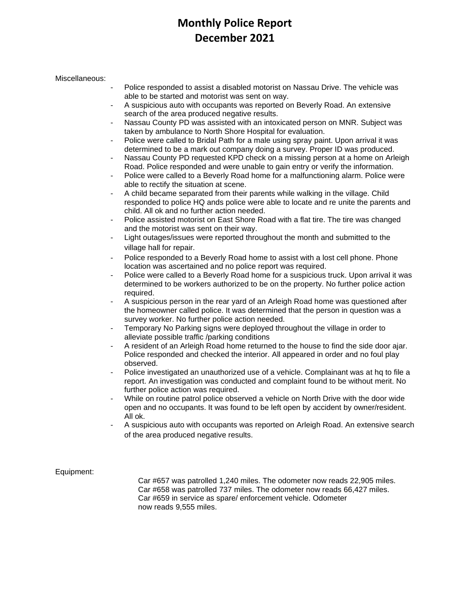### **Monthly Police Report December 2021**

### Miscellaneous:

- Police responded to assist a disabled motorist on Nassau Drive. The vehicle was able to be started and motorist was sent on way.
- A suspicious auto with occupants was reported on Beverly Road. An extensive search of the area produced negative results.
- Nassau County PD was assisted with an intoxicated person on MNR. Subject was taken by ambulance to North Shore Hospital for evaluation.
- Police were called to Bridal Path for a male using spray paint. Upon arrival it was determined to be a mark out company doing a survey. Proper ID was produced.
- Nassau County PD requested KPD check on a missing person at a home on Arleigh Road. Police responded and were unable to gain entry or verify the information.
- Police were called to a Beverly Road home for a malfunctioning alarm. Police were able to rectify the situation at scene.
- A child became separated from their parents while walking in the village. Child responded to police HQ ands police were able to locate and re unite the parents and child. All ok and no further action needed.
- Police assisted motorist on East Shore Road with a flat tire. The tire was changed and the motorist was sent on their way.
- Light outages/issues were reported throughout the month and submitted to the village hall for repair.
- Police responded to a Beverly Road home to assist with a lost cell phone. Phone location was ascertained and no police report was required.
- Police were called to a Beverly Road home for a suspicious truck. Upon arrival it was determined to be workers authorized to be on the property. No further police action required.
- A suspicious person in the rear yard of an Arleigh Road home was questioned after the homeowner called police. It was determined that the person in question was a survey worker. No further police action needed.
- Temporary No Parking signs were deployed throughout the village in order to alleviate possible traffic /parking conditions
- A resident of an Arleigh Road home returned to the house to find the side door ajar. Police responded and checked the interior. All appeared in order and no foul play observed.
- Police investigated an unauthorized use of a vehicle. Complainant was at ha to file a report. An investigation was conducted and complaint found to be without merit. No further police action was required.
- While on routine patrol police observed a vehicle on North Drive with the door wide open and no occupants. It was found to be left open by accident by owner/resident. All ok.
- A suspicious auto with occupants was reported on Arleigh Road. An extensive search of the area produced negative results.

Equipment:

Car #657 was patrolled 1,240 miles. The odometer now reads 22,905 miles. Car #658 was patrolled 737 miles. The odometer now reads 66,427 miles. Car #659 in service as spare/ enforcement vehicle. Odometer now reads 9,555 miles.